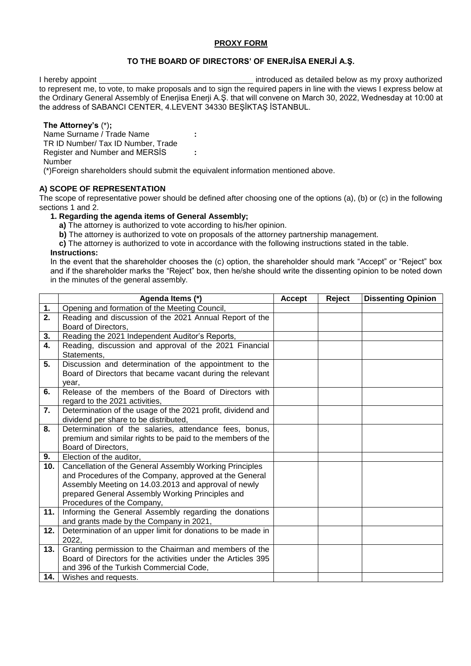## **PROXY FORM**

# **TO THE BOARD OF DIRECTORS' OF ENERJİSA ENERJİ A.Ş.**

I hereby appoint **I** hereby appoint **introduced** as detailed below as my proxy authorized to represent me, to vote, to make proposals and to sign the required papers in line with the views I express below at the Ordinary General Assembly of Enerjisa Enerji A.Ş. that will convene on March 30, 2022, Wednesday at 10:00 at the address of SABANCI CENTER, 4.LEVENT 34330 BEŞİKTAŞ İSTANBUL.

### **The Attorney's** (\*)**;**

Name Surname / Trade Name **:** TR ID Number/ Tax ID Number, Trade Register and Number and MERSİS Number

(\*)Foreign shareholders should submit the equivalent information mentioned above.

**:**

## **A) SCOPE OF REPRESENTATION**

The scope of representative power should be defined after choosing one of the options (a), (b) or (c) in the following sections 1 and 2.

### **1. Regarding the agenda items of General Assembly;**

**a)** The attorney is authorized to vote according to his/her opinion.

**b)** The attorney is authorized to vote on proposals of the attorney partnership management.

 **c)** The attorney is authorized to vote in accordance with the following instructions stated in the table. **Instructions:**

In the event that the shareholder chooses the (c) option, the shareholder should mark "Accept" or "Reject" box and if the shareholder marks the "Reject" box, then he/she should write the dissenting opinion to be noted down in the minutes of the general assembly.

|       | Agenda Items (*)                                             | <b>Accept</b> | Reject | <b>Dissenting Opinion</b> |
|-------|--------------------------------------------------------------|---------------|--------|---------------------------|
| 1.    | Opening and formation of the Meeting Council,                |               |        |                           |
| 2.    | Reading and discussion of the 2021 Annual Report of the      |               |        |                           |
|       | Board of Directors,                                          |               |        |                           |
| 3.    | Reading the 2021 Independent Auditor's Reports,              |               |        |                           |
| 4.    | Reading, discussion and approval of the 2021 Financial       |               |        |                           |
|       | Statements.                                                  |               |        |                           |
| 5.    | Discussion and determination of the appointment to the       |               |        |                           |
|       | Board of Directors that became vacant during the relevant    |               |        |                           |
|       | year,                                                        |               |        |                           |
| 6.    | Release of the members of the Board of Directors with        |               |        |                           |
|       | regard to the 2021 activities,                               |               |        |                           |
| 7.    | Determination of the usage of the 2021 profit, dividend and  |               |        |                           |
|       | dividend per share to be distributed,                        |               |        |                           |
| 8.    | Determination of the salaries, attendance fees, bonus,       |               |        |                           |
|       | premium and similar rights to be paid to the members of the  |               |        |                           |
|       | Board of Directors,                                          |               |        |                           |
| 9.    | Election of the auditor,                                     |               |        |                           |
| 10.   | Cancellation of the General Assembly Working Principles      |               |        |                           |
|       | and Procedures of the Company, approved at the General       |               |        |                           |
|       | Assembly Meeting on 14.03.2013 and approval of newly         |               |        |                           |
|       | prepared General Assembly Working Principles and             |               |        |                           |
|       | Procedures of the Company,                                   |               |        |                           |
| 11.   | Informing the General Assembly regarding the donations       |               |        |                           |
|       | and grants made by the Company in 2021,                      |               |        |                           |
| 12.   | Determination of an upper limit for donations to be made in  |               |        |                           |
|       | 2022,                                                        |               |        |                           |
| 13.   | Granting permission to the Chairman and members of the       |               |        |                           |
|       | Board of Directors for the activities under the Articles 395 |               |        |                           |
|       | and 396 of the Turkish Commercial Code,                      |               |        |                           |
| 14. l | Wishes and requests.                                         |               |        |                           |